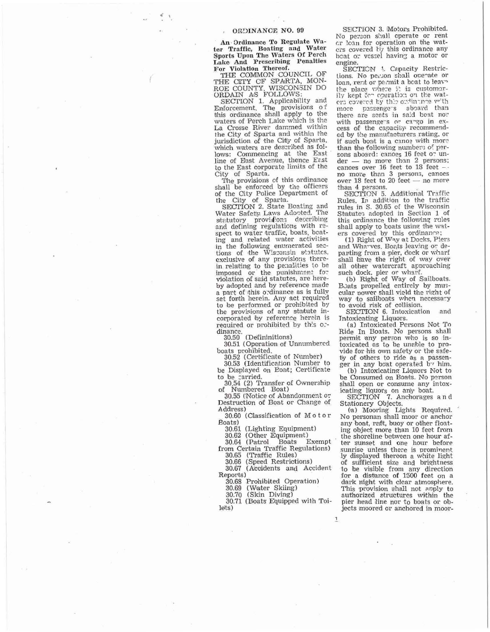## ORDINANCE NO. 99

An Ordinance To Regulate Water Traffic, Boating and Water<br>Sports Upon The Waters Of Perch Lake And Prescribing Penalties

For Violation Thereof.<br>THE COMMON COUNCIL OF<br>THE CITY CF SPARTA, MON-ROE COUNTY, WISCONSIN DO ORDAIN AS FOLLOWS

SECTION 1. Applicability and<br>Enforcement. The provisions of<br>this ordinance shall apply to the waters of Perch Lake which is the La Crosse River dammed within the City of Sparta and within the jurisdiction of the City of Sparta, which waters are described as follows: Commencing at the East line of East Avenue, thence East to the East corporate limits of the City of Spanta.

The provisions of this ordinance shall be enforced by the officers of the City Police Department of

the City of Sparta.<br>SECTION 2. State Boating and<br>Water Safety Laws Adopted. The statutory providions describing<br>and defining regulations with respect to water traffic, boats, boating and related water activities in the following enumerated sec-<br>tions of the Wisconsin statutes, exclusive of any provisions therein relating to the penalities to be imposed or the punishment for violation of said statutes, are hereby adopted and by reference made a part of this ordinance as is fully set fonth herein. Any act required to be performed or prohibited by the provisions of any statute incorporated by reference herein is required or prohibited by this ordinance.

30.50 (Defininitions)

30.51 (Operation of Unnumbered boats prohibited.

30.52 (Certificate of Number)

30.53 (Identification Number to be Displayed on Poat; Certificate

to be carried. 30.54 (2) Transfer of Ownership

Numbered Boat) of 30.55 (Notice of Abandonment or

Destruction of Boat or Change of Address)

30.60 (Classification of Motor Boats)

30.61 (Lighting Equipment)

30.62 (Other Equipment)<br>30.64 (Patrol Boats F

Exempt from Certain Traffic Regulations)

30.65 (Traffic Rules)<br>30.66 (Speed Restrictions)

30.67 (Accidents and Accident Reports)

30.68 Prohibited Operation)

30.69 (Water Skiing)<br>30.70 (Skin Diving)

30.71 (Boats Equipped with Toilets)

 $\overline{1}$ 

SEICTION 3. Motors Prohibited. No person shall operate or rent cr loan for operation on the waters covered *tiy* this ordinance any beat or vessel having a motor or engine.

SECTION 4. Capacity Restrictions. No person shall operate or loan, rent or permit a boat to leave the place where it is customarily kept for operation on the waters covered by this ordinance with more passengers aboard than there are seats in said boat nor with passengers or cargo in excess of the capacity recommended by the manufacturers rating, or if such boat is a canoe with more than the following numbers of persons aboard: canoes 16 feet or un-- no more than 2 persons: der canoes over 16 feet to 18 feet no more than 3 persons, canoes<br>over 18 feet to 20 feet — no more than 4 persons.

SECTION 5. Additional Traffic Rules. In addition to the traffic rules in S. 30.65 of the Wisconsin Statutes adopted in Section 1 of this ordinance the following rules shall apply to boats using the waters covered by this ordinance;<br>(1) Right of Way at Docks, Piers

and Wharves. Boats leaving or departing from a pier, dock or wharf shall have the right of way over all other watercraft approaching such dock, pier or wharf.

(b) Right of Way of Sailboats.<br>Boats propelled entirely by muscular power shall vield the right of way to sailboats when necessary to avoid risk of collision.

SECTION 6. Intoxication and Intoxicating Liquors.

(a) Intoxicated Persons Not To Ride In Boats. No persons shall permit any person who is so intoxicated as to be unable to provide for his own safety or the safety of others to ride as a passenger in any boat operated by him.

(b) Intoxicating Liquors Not to be Consumed on Boats. No person shall open or consume any intox-

icating liquors on any boat.<br>SECTION 7. Anchorages and<br>Stationery Objects.

(a) Mooring Lights Required. No personan shall moor or anchor any boat, rafit, buoy or other floating object more than 10 feet from the shoreline between one hour after sunset and one hour before sunrise unless there is prominent ly displayed thereon a white light of sufficient size and brightness to be visible from any direction for a distance of 1500 feet on a dark night with clear atmosphere. This provision shall not apply to authorized structures within the pier head line nor to boats or objects moored or anchored in moor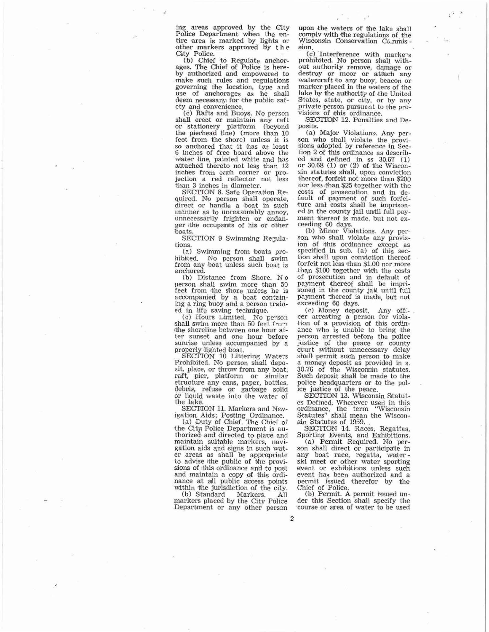ing areas approved by the City Police Department when the entire area is marked by lights or other markers approved by the City Police.

(b) Chief to Regulate anchor-<br>ages. The Chief of Police is hereby authorized and empowered to make such rules and regulations governing the location, type and use of anchorages as he shall<br>deem necessary for the public safety and convenience.

(c) Rafts and Buoys. No person shall erect or maintain any raft or stationery pletform (beyond<br>the pierhead line) (more than 10 feet from the shore) unless it is<br>so anchored that it has at least<br>6 inches of free board above the water line, painted white and has attached thereto not less than 12 inches from each corner or projection a red reflector not less than 3 inches in diameter.

SECTION 8. Safe Operation Required. No person shall operate,<br>direct or handle a boat in such manner as to unreasonably annoy,<br>unnecessarily frighten or endanger the occupants of his or other boats.

SECTION 9 Swimming Regulations.

(a) Swimming from boats prohibited. No person shall swim from any boat unless such boat is anchored.

(b) Distance from Shore. No person shall swim more than 50 feet from the shore unless he is accompanied by a boat containing a ring buoy and a person trained in life saving technique.

(c) Hours Limited. No person<br>shall swim more than 50 feet from the shcreline between one hour after sunset and one hour before sunrise unless accompanied by a properly lighted boat.

SECTION 10 Littering Waters Prohibited. No person shall deposit, place, or throw from any boat, raft, pier, platform or similar structure any cans, paper, bottles, debris, refuse or garbage solid or liquid waste into the water of the lake

SECTION 11. Markers and Nav-

igation Aids; Posting Ordinance.<br>
(a) Duty of Chief. The Chief of<br>
the City, Police Department is authorized and directed to place and maintain suitable markers, navigation aids and signs in such wat-<br>er areas as shall be appropriate<br>to advise the public of the provisions of this ordinance and to post and maintain a copy of this ordinance at all public access points within the jurisdiction of the city.

(b) Standard Markers. All markers placed by the City Police Department or any other person upon the waters of the lake shall comply with the regulations of the Wisconsin Conservation Co. nmis sion

(c) Interference with markers prohibited. No person shall without authority remove, damage or destroy or moor or attach any watercraft to any buoy, beacon or marker placed in the waters of the lake by the authority of the United States, state, or city, or by any private person pursuant to the pro-

visions of this ordinance.<br>SECITION 12. Penalties and Deposits.

(a) Major Violations. Any person who shall violate the provisions adopted by reference in Section 2 of this ordinance as described and defined in ss  $30.67$  (1)<br>or  $30.68$  (1) or (2) of the Wisconsin statutes shall, upon conviction thereof, forfeit not more than \$200 nor less than \$25 together with the costs of prosecution and in de-<br>fault of payment of such forfeiture and costs shall be imprisoned in the county jail until full payment thereof is made, but not exceeding 60 days.<br>(b) Minor Violations. Any per-

son who shall violate any provision of this ordinance except as specified in sub. (a) of this section shall upon conviction thereof forfeit not less than \$1.00 nor more than \$100 together with the costs of prosecution and in default of payment thereof shall be imprisoned in the county jail until full payment thereof is made, but not exceeding 60 days.

(c) Money deposit. Any off-<br>cer arresting a person for violation of a provision of this ordinance who is unable to bring the person arrested before the police justice of the peace or county ccurt without unnecessary delay shall permit such person to make a money deposit as provided in s. 30.76 of the Wisconsin statutes. Such deposit shall be made to the police headquarters or to the police justice of the peace.

SECTION 13. Wisconsin Statutes Defined. Wherever used in this<br>ordinance, the term "Wisconsin<br>Statutes" shall mean the Wisconsin Statutes of 1959.

SECTION 14. Races, Regattas, Sporting Events, and Exhibitions.

(a) Permit Required. No person shall direct or participate in any boat race, regatta, water-<br>ski meet or other water sporting event or exhibitions unless such<br>event has been authorized and a permit issued therefor by the<br>Chief of Police.

(b) Permit. A permit issued under this Section shall specify the course or area of water to be used

 $\overline{2}$